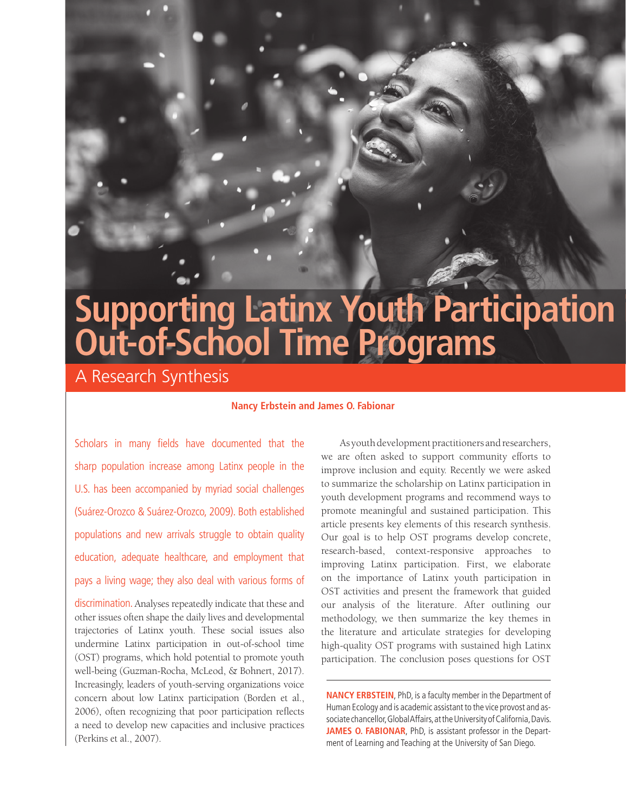# **Supporting Latinx Youth Participation Out-of-School Time Programs**

A Research Synthesis

## **Nancy Erbstein and James O. Fabionar**

Scholars in many fields have documented that the sharp population increase among Latinx people in the U.S. has been accompanied by myriad social challenges (Suárez-Orozco & Suárez-Orozco, 2009). Both established populations and new arrivals struggle to obtain quality education, adequate healthcare, and employment that pays a living wage; they also deal with various forms of

discrimination. Analyses repeatedly indicate that these and other issues often shape the daily lives and developmental trajectories of Latinx youth. These social issues also undermine Latinx participation in out-of-school time (OST) programs, which hold potential to promote youth well-being (Guzman-Rocha, McLeod, & Bohnert, 2017). Increasingly, leaders of youth-serving organizations voice concern about low Latinx participation (Borden et al., 2006), often recognizing that poor participation reflects a need to develop new capacities and inclusive practices (Perkins et al., 2007).

As youth development practitioners and researchers, we are often asked to support community efforts to improve inclusion and equity. Recently we were asked to summarize the scholarship on Latinx participation in youth development programs and recommend ways to promote meaningful and sustained participation. This article presents key elements of this research synthesis. Our goal is to help OST programs develop concrete, research-based, context-responsive approaches to improving Latinx participation. First, we elaborate on the importance of Latinx youth participation in OST activities and present the framework that guided our analysis of the literature. After outlining our methodology, we then summarize the key themes in the literature and articulate strategies for developing high-quality OST programs with sustained high Latinx participation. The conclusion poses questions for OST

**NANCY ERBSTEIN**, PhD, is a faculty member in the Department of Human Ecology and is academic assistant to the vice provost and associate chancellor, Global Affairs, at the University of California, Davis. **JAMES O. FABIONAR**, PhD, is assistant professor in the Department of Learning and Teaching at the University of San Diego.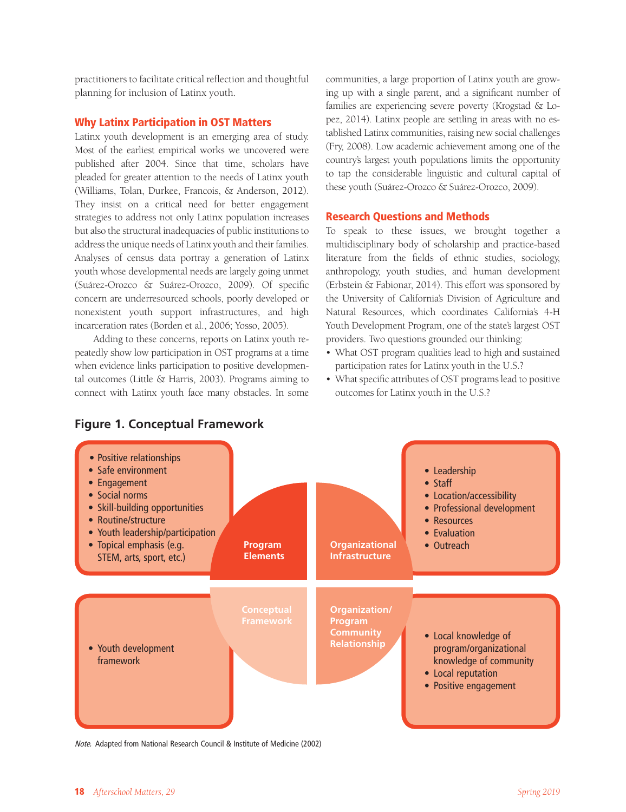practitioners to facilitate critical reflection and thoughtful planning for inclusion of Latinx youth.

## Why Latinx Participation in OST Matters

Latinx youth development is an emerging area of study. Most of the earliest empirical works we uncovered were published after 2004. Since that time, scholars have pleaded for greater attention to the needs of Latinx youth (Williams, Tolan, Durkee, Francois, & Anderson, 2012). They insist on a critical need for better engagement strategies to address not only Latinx population increases but also the structural inadequacies of public institutions to address the unique needs of Latinx youth and their families. Analyses of census data portray a generation of Latinx youth whose developmental needs are largely going unmet (Suárez-Orozco & Suárez-Orozco, 2009). Of specific concern are underresourced schools, poorly developed or nonexistent youth support infrastructures, and high incarceration rates (Borden et al., 2006; Yosso, 2005).

Adding to these concerns, reports on Latinx youth repeatedly show low participation in OST programs at a time when evidence links participation to positive developmental outcomes (Little & Harris, 2003). Programs aiming to connect with Latinx youth face many obstacles. In some

communities, a large proportion of Latinx youth are growing up with a single parent, and a significant number of families are experiencing severe poverty (Krogstad & Lopez, 2014). Latinx people are settling in areas with no established Latinx communities, raising new social challenges (Fry, 2008). Low academic achievement among one of the country's largest youth populations limits the opportunity to tap the considerable linguistic and cultural capital of these youth (Suárez-Orozco & Suárez-Orozco, 2009).

#### Research Questions and Methods

To speak to these issues, we brought together a multidisciplinary body of scholarship and practice-based literature from the fields of ethnic studies, sociology, anthropology, youth studies, and human development (Erbstein & Fabionar, 2014). This effort was sponsored by the University of California's Division of Agriculture and Natural Resources, which coordinates California's 4-H Youth Development Program, one of the state's largest OST providers. Two questions grounded our thinking:

- What OST program qualities lead to high and sustained participation rates for Latinx youth in the U.S.?
- What specific attributes of OST programs lead to positive outcomes for Latinx youth in the U.S.?



Note. Adapted from National Research Council & Institute of Medicine (2002)

# **Figure 1. Conceptual Framework**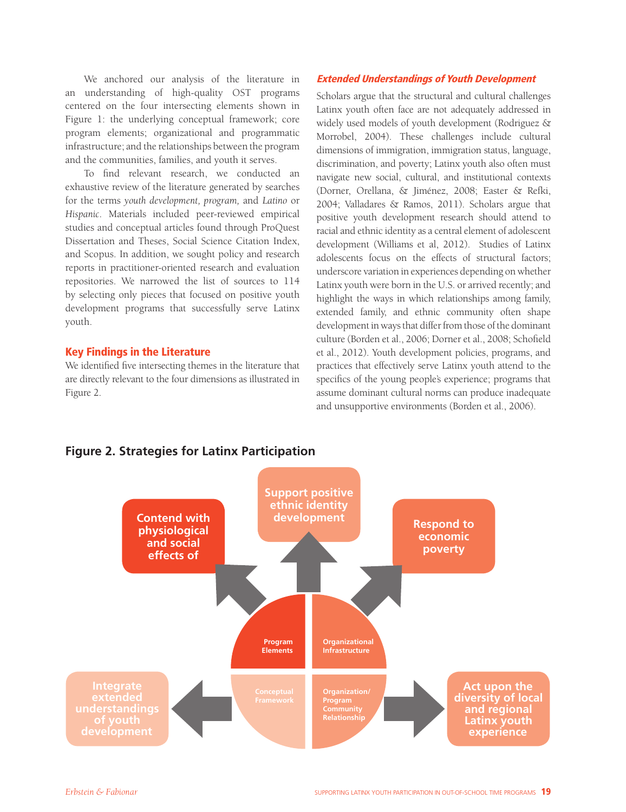We anchored our analysis of the literature in an understanding of high-quality OST programs centered on the four intersecting elements shown in Figure 1: the underlying conceptual framework; core program elements; organizational and programmatic infrastructure; and the relationships between the program and the communities, families, and youth it serves.

To find relevant research, we conducted an exhaustive review of the literature generated by searches for the terms *youth development, program,* and *Latino* or *Hispanic*. Materials included peer-reviewed empirical studies and conceptual articles found through ProQuest Dissertation and Theses, Social Science Citation Index, and Scopus. In addition, we sought policy and research reports in practitioner-oriented research and evaluation repositories. We narrowed the list of sources to 114 by selecting only pieces that focused on positive youth development programs that successfully serve Latinx youth.

## Key Findings in the Literature

We identified five intersecting themes in the literature that are directly relevant to the four dimensions as illustrated in Figure 2.

## Extended Understandings of Youth Development

Scholars argue that the structural and cultural challenges Latinx youth often face are not adequately addressed in widely used models of youth development (Rodriguez & Morrobel, 2004). These challenges include cultural dimensions of immigration, immigration status, language, discrimination, and poverty; Latinx youth also often must navigate new social, cultural, and institutional contexts (Dorner, Orellana, & Jiménez, 2008; Easter & Refki, 2004; Valladares & Ramos, 2011). Scholars argue that positive youth development research should attend to racial and ethnic identity as a central element of adolescent development (Williams et al, 2012). Studies of Latinx adolescents focus on the effects of structural factors; underscore variation in experiences depending on whether Latinx youth were born in the U.S. or arrived recently; and highlight the ways in which relationships among family, extended family, and ethnic community often shape development in ways that differ from those of the dominant culture (Borden et al., 2006; Dorner et al., 2008; Schofield et al., 2012). Youth development policies, programs, and practices that effectively serve Latinx youth attend to the specifics of the young people's experience; programs that assume dominant cultural norms can produce inadequate and unsupportive environments (Borden et al., 2006).



# **Figure 2. Strategies for Latinx Participation**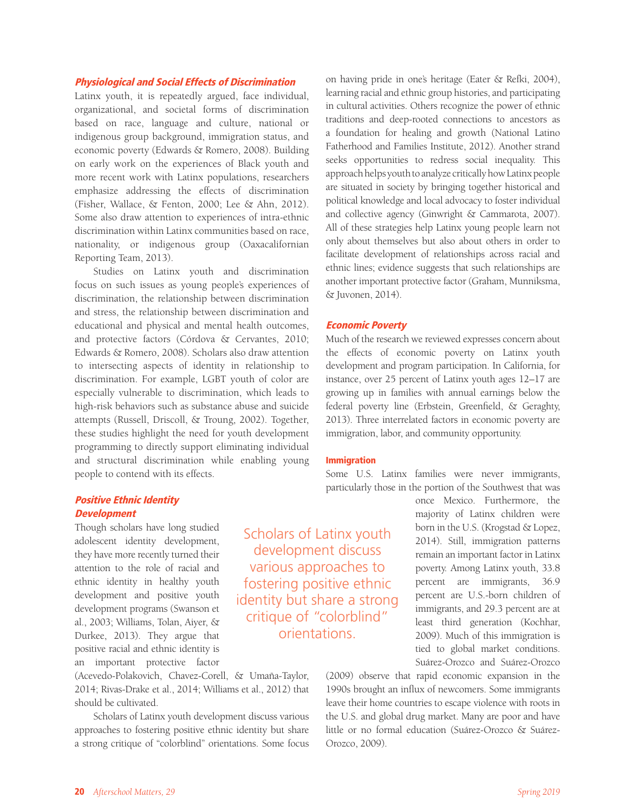## Physiological and Social Effects of Discrimination

Latinx youth, it is repeatedly argued, face individual, organizational, and societal forms of discrimination based on race, language and culture, national or indigenous group background, immigration status, and economic poverty (Edwards & Romero, 2008). Building on early work on the experiences of Black youth and more recent work with Latinx populations, researchers emphasize addressing the effects of discrimination (Fisher, Wallace, & Fenton, 2000; Lee & Ahn, 2012). Some also draw attention to experiences of intra-ethnic discrimination within Latinx communities based on race, nationality, or indigenous group (Oaxacalifornian Reporting Team, 2013).

Studies on Latinx youth and discrimination focus on such issues as young people's experiences of discrimination, the relationship between discrimination and stress, the relationship between discrimination and educational and physical and mental health outcomes, and protective factors (Córdova & Cervantes, 2010; Edwards & Romero, 2008). Scholars also draw attention to intersecting aspects of identity in relationship to discrimination. For example, LGBT youth of color are especially vulnerable to discrimination, which leads to high-risk behaviors such as substance abuse and suicide attempts (Russell, Driscoll, & Troung, 2002). Together, these studies highlight the need for youth development programming to directly support eliminating individual and structural discrimination while enabling young people to contend with its effects.

# Positive Ethnic Identity **Development**

Though scholars have long studied adolescent identity development, they have more recently turned their attention to the role of racial and ethnic identity in healthy youth development and positive youth development programs (Swanson et al., 2003; Williams, Tolan, Aiyer, & Durkee, 2013). They argue that positive racial and ethnic identity is an important protective factor

(Acevedo-Polakovich, Chavez-Corell, & Umaña-Taylor, 2014; Rivas-Drake et al., 2014; Williams et al., 2012) that should be cultivated.

Scholars of Latinx youth development discuss various approaches to fostering positive ethnic identity but share a strong critique of "colorblind" orientations. Some focus on having pride in one's heritage (Eater & Refki, 2004), learning racial and ethnic group histories, and participating in cultural activities. Others recognize the power of ethnic traditions and deep-rooted connections to ancestors as a foundation for healing and growth (National Latino Fatherhood and Families Institute, 2012). Another strand seeks opportunities to redress social inequality. This approach helps youth to analyze critically how Latinx people are situated in society by bringing together historical and political knowledge and local advocacy to foster individual and collective agency (Ginwright & Cammarota, 2007). All of these strategies help Latinx young people learn not only about themselves but also about others in order to facilitate development of relationships across racial and ethnic lines; evidence suggests that such relationships are another important protective factor (Graham, Munniksma, & Juvonen, 2014).

#### Economic Poverty

Much of the research we reviewed expresses concern about the effects of economic poverty on Latinx youth development and program participation. In California, for instance, over 25 percent of Latinx youth ages 12–17 are growing up in families with annual earnings below the federal poverty line (Erbstein, Greenfield, & Geraghty, 2013). Three interrelated factors in economic poverty are immigration, labor, and community opportunity.

#### Immigration

Some U.S. Latinx families were never immigrants, particularly those in the portion of the Southwest that was

> once Mexico. Furthermore, the majority of Latinx children were born in the U.S. (Krogstad & Lopez, 2014). Still, immigration patterns remain an important factor in Latinx poverty. Among Latinx youth, 33.8 percent are immigrants, 36.9 percent are U.S.-born children of immigrants, and 29.3 percent are at least third generation (Kochhar, 2009). Much of this immigration is tied to global market conditions. Suárez-Orozco and Suárez-Orozco

(2009) observe that rapid economic expansion in the 1990s brought an influx of newcomers. Some immigrants leave their home countries to escape violence with roots in the U.S. and global drug market. Many are poor and have little or no formal education (Suárez-Orozco & Suárez-Orozco, 2009).

Scholars of Latinx youth development discuss various approaches to fostering positive ethnic identity but share a strong critique of "colorblind" orientations.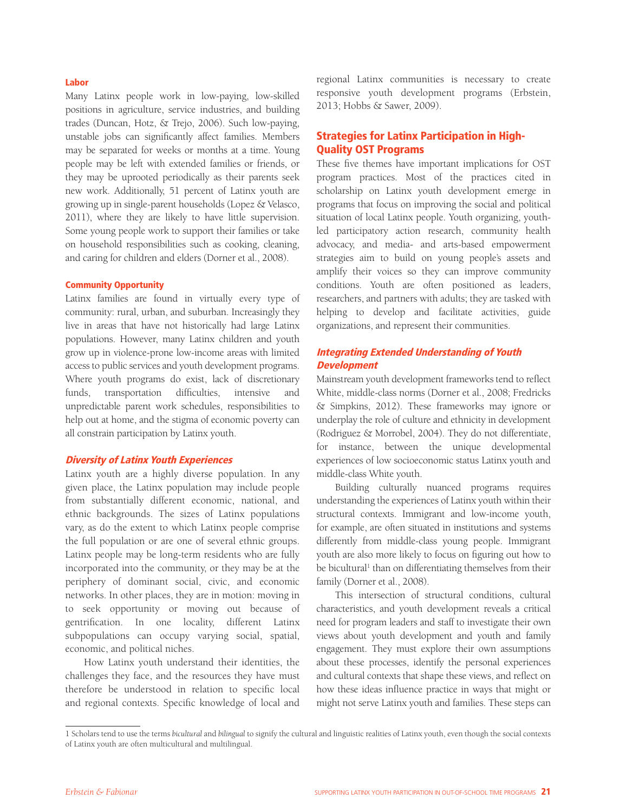#### Labor

Many Latinx people work in low-paying, low-skilled positions in agriculture, service industries, and building trades (Duncan, Hotz, & Trejo, 2006). Such low-paying, unstable jobs can significantly affect families. Members may be separated for weeks or months at a time. Young people may be left with extended families or friends, or they may be uprooted periodically as their parents seek new work. Additionally, 51 percent of Latinx youth are growing up in single-parent households (Lopez & Velasco, 2011), where they are likely to have little supervision. Some young people work to support their families or take on household responsibilities such as cooking, cleaning, and caring for children and elders (Dorner et al., 2008).

#### Community Opportunity

Latinx families are found in virtually every type of community: rural, urban, and suburban. Increasingly they live in areas that have not historically had large Latinx populations. However, many Latinx children and youth grow up in violence-prone low-income areas with limited access to public services and youth development programs. Where youth programs do exist, lack of discretionary funds, transportation difficulties, intensive and unpredictable parent work schedules, responsibilities to help out at home, and the stigma of economic poverty can all constrain participation by Latinx youth.

## Diversity of Latinx Youth Experiences

Latinx youth are a highly diverse population. In any given place, the Latinx population may include people from substantially different economic, national, and ethnic backgrounds. The sizes of Latinx populations vary, as do the extent to which Latinx people comprise the full population or are one of several ethnic groups. Latinx people may be long-term residents who are fully incorporated into the community, or they may be at the periphery of dominant social, civic, and economic networks. In other places, they are in motion: moving in to seek opportunity or moving out because of gentrification. In one locality, different Latinx subpopulations can occupy varying social, spatial, economic, and political niches.

How Latinx youth understand their identities, the challenges they face, and the resources they have must therefore be understood in relation to specific local and regional contexts. Specific knowledge of local and regional Latinx communities is necessary to create responsive youth development programs (Erbstein, 2013; Hobbs & Sawer, 2009).

# Strategies for Latinx Participation in High-Quality OST Programs

These five themes have important implications for OST program practices. Most of the practices cited in scholarship on Latinx youth development emerge in programs that focus on improving the social and political situation of local Latinx people. Youth organizing, youthled participatory action research, community health advocacy, and media- and arts-based empowerment strategies aim to build on young people's assets and amplify their voices so they can improve community conditions. Youth are often positioned as leaders, researchers, and partners with adults; they are tasked with helping to develop and facilitate activities, guide organizations, and represent their communities.

# Integrating Extended Understanding of Youth **Development**

Mainstream youth development frameworks tend to reflect White, middle-class norms (Dorner et al., 2008; Fredricks & Simpkins, 2012). These frameworks may ignore or underplay the role of culture and ethnicity in development (Rodriguez & Morrobel, 2004). They do not differentiate, for instance, between the unique developmental experiences of low socioeconomic status Latinx youth and middle-class White youth.

Building culturally nuanced programs requires understanding the experiences of Latinx youth within their structural contexts. Immigrant and low-income youth, for example, are often situated in institutions and systems differently from middle-class young people. Immigrant youth are also more likely to focus on figuring out how to be bicultural<sup>1</sup> than on differentiating themselves from their family (Dorner et al., 2008).

This intersection of structural conditions, cultural characteristics, and youth development reveals a critical need for program leaders and staff to investigate their own views about youth development and youth and family engagement. They must explore their own assumptions about these processes, identify the personal experiences and cultural contexts that shape these views, and reflect on how these ideas influence practice in ways that might or might not serve Latinx youth and families. These steps can

<sup>1</sup> Scholars tend to use the terms *bicultural* and *bilingual* to signify the cultural and linguistic realities of Latinx youth, even though the social contexts of Latinx youth are often multicultural and multilingual.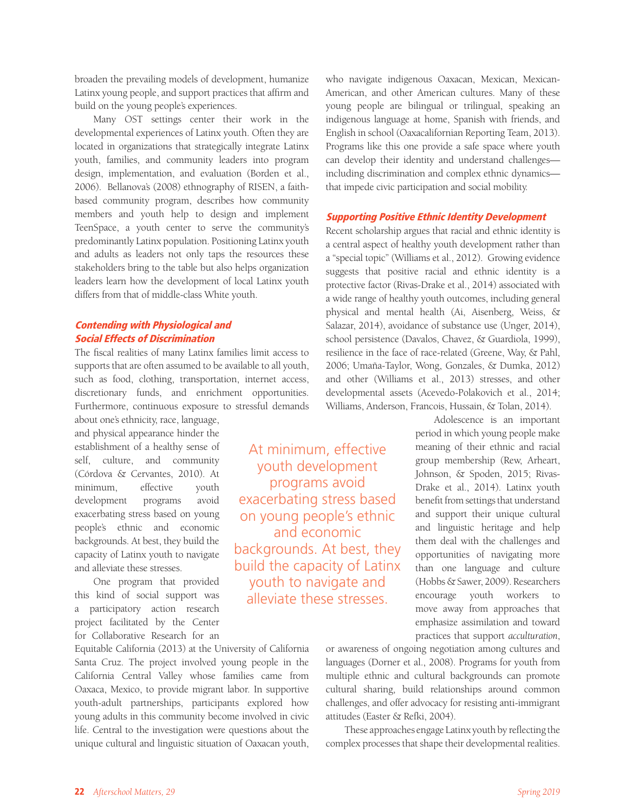broaden the prevailing models of development, humanize Latinx young people, and support practices that affirm and build on the young people's experiences.

Many OST settings center their work in the developmental experiences of Latinx youth. Often they are located in organizations that strategically integrate Latinx youth, families, and community leaders into program design, implementation, and evaluation (Borden et al., 2006). Bellanova's (2008) ethnography of RISEN, a faithbased community program, describes how community members and youth help to design and implement TeenSpace, a youth center to serve the community's predominantly Latinx population. Positioning Latinx youth and adults as leaders not only taps the resources these stakeholders bring to the table but also helps organization leaders learn how the development of local Latinx youth differs from that of middle-class White youth.

# Contending with Physiological and Social Effects of Discrimination

The fiscal realities of many Latinx families limit access to supports that are often assumed to be available to all youth, such as food, clothing, transportation, internet access, discretionary funds, and enrichment opportunities. Furthermore, continuous exposure to stressful demands

> At minimum, effective youth development programs avoid exacerbating stress based on young people's ethnic and economic backgrounds. At best, they build the capacity of Latinx youth to navigate and alleviate these stresses.

about one's ethnicity, race, language, and physical appearance hinder the establishment of a healthy sense of self, culture, and community (Córdova & Cervantes, 2010). At minimum, effective youth development programs avoid exacerbating stress based on young people's ethnic and economic backgrounds. At best, they build the capacity of Latinx youth to navigate and alleviate these stresses.

One program that provided this kind of social support was a participatory action research project facilitated by the Center for Collaborative Research for an

Equitable California (2013) at the University of California Santa Cruz. The project involved young people in the California Central Valley whose families came from Oaxaca, Mexico, to provide migrant labor. In supportive youth-adult partnerships, participants explored how young adults in this community become involved in civic life. Central to the investigation were questions about the unique cultural and linguistic situation of Oaxacan youth,

who navigate indigenous Oaxacan, Mexican, Mexican-American, and other American cultures. Many of these young people are bilingual or trilingual, speaking an indigenous language at home, Spanish with friends, and English in school (Oaxacalifornian Reporting Team, 2013). Programs like this one provide a safe space where youth can develop their identity and understand challenges including discrimination and complex ethnic dynamics that impede civic participation and social mobility.

## Supporting Positive Ethnic Identity Development

Recent scholarship argues that racial and ethnic identity is a central aspect of healthy youth development rather than a "special topic" (Williams et al., 2012). Growing evidence suggests that positive racial and ethnic identity is a protective factor (Rivas-Drake et al., 2014) associated with a wide range of healthy youth outcomes, including general physical and mental health (Ai, Aisenberg, Weiss, & Salazar, 2014), avoidance of substance use (Unger, 2014), school persistence (Davalos, Chavez, & Guardiola, 1999), resilience in the face of race-related (Greene, Way, & Pahl, 2006; Umaña-Taylor, Wong, Gonzales, & Dumka, 2012) and other (Williams et al., 2013) stresses, and other developmental assets (Acevedo-Polakovich et al., 2014; Williams, Anderson, Francois, Hussain, & Tolan, 2014).

> Adolescence is an important period in which young people make meaning of their ethnic and racial group membership (Rew, Arheart, Johnson, & Spoden, 2015; Rivas-Drake et al., 2014). Latinx youth benefit from settings that understand and support their unique cultural and linguistic heritage and help them deal with the challenges and opportunities of navigating more than one language and culture (Hobbs & Sawer, 2009). Researchers encourage youth workers to move away from approaches that emphasize assimilation and toward practices that support *acculturation*,

or awareness of ongoing negotiation among cultures and languages (Dorner et al., 2008). Programs for youth from multiple ethnic and cultural backgrounds can promote cultural sharing, build relationships around common challenges, and offer advocacy for resisting anti-immigrant attitudes (Easter & Refki, 2004).

These approaches engage Latinx youth by reflecting the complex processes that shape their developmental realities.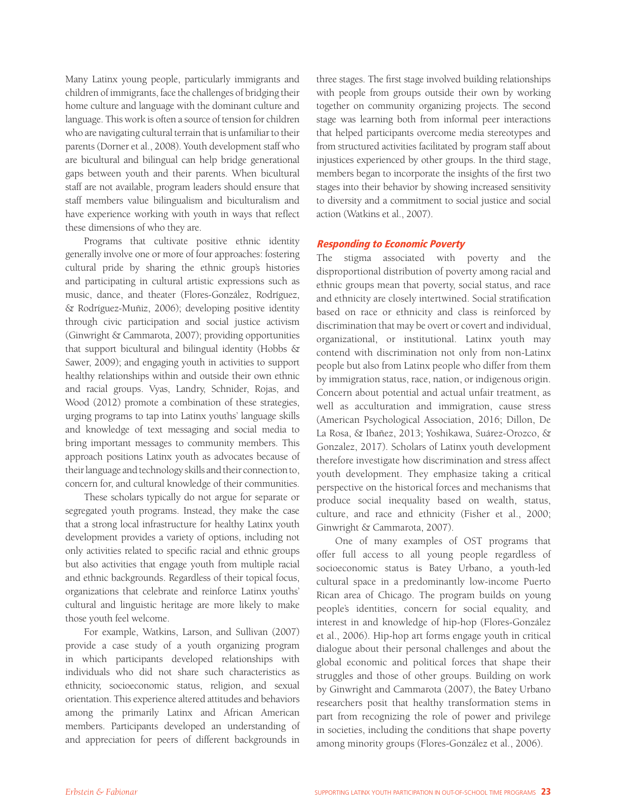Many Latinx young people, particularly immigrants and children of immigrants, face the challenges of bridging their home culture and language with the dominant culture and language. This work is often a source of tension for children who are navigating cultural terrain that is unfamiliar to their parents (Dorner et al., 2008). Youth development staff who are bicultural and bilingual can help bridge generational gaps between youth and their parents. When bicultural staff are not available, program leaders should ensure that staff members value bilingualism and biculturalism and have experience working with youth in ways that reflect these dimensions of who they are.

Programs that cultivate positive ethnic identity generally involve one or more of four approaches: fostering cultural pride by sharing the ethnic group's histories and participating in cultural artistic expressions such as music, dance, and theater (Flores-González, Rodríguez, & Rodríguez-Muñiz, 2006); developing positive identity through civic participation and social justice activism (Ginwright & Cammarota, 2007); providing opportunities that support bicultural and bilingual identity (Hobbs & Sawer, 2009); and engaging youth in activities to support healthy relationships within and outside their own ethnic and racial groups. Vyas, Landry, Schnider, Rojas, and Wood (2012) promote a combination of these strategies, urging programs to tap into Latinx youths' language skills and knowledge of text messaging and social media to bring important messages to community members. This approach positions Latinx youth as advocates because of their language and technology skills and their connection to, concern for, and cultural knowledge of their communities.

These scholars typically do not argue for separate or segregated youth programs. Instead, they make the case that a strong local infrastructure for healthy Latinx youth development provides a variety of options, including not only activities related to specific racial and ethnic groups but also activities that engage youth from multiple racial and ethnic backgrounds. Regardless of their topical focus, organizations that celebrate and reinforce Latinx youths' cultural and linguistic heritage are more likely to make those youth feel welcome.

For example, Watkins, Larson, and Sullivan (2007) provide a case study of a youth organizing program in which participants developed relationships with individuals who did not share such characteristics as ethnicity, socioeconomic status, religion, and sexual orientation. This experience altered attitudes and behaviors among the primarily Latinx and African American members. Participants developed an understanding of and appreciation for peers of different backgrounds in

three stages. The first stage involved building relationships with people from groups outside their own by working together on community organizing projects. The second stage was learning both from informal peer interactions that helped participants overcome media stereotypes and from structured activities facilitated by program staff about injustices experienced by other groups. In the third stage, members began to incorporate the insights of the first two stages into their behavior by showing increased sensitivity to diversity and a commitment to social justice and social action (Watkins et al., 2007).

## Responding to Economic Poverty

The stigma associated with poverty and the disproportional distribution of poverty among racial and ethnic groups mean that poverty, social status, and race and ethnicity are closely intertwined. Social stratification based on race or ethnicity and class is reinforced by discrimination that may be overt or covert and individual, organizational, or institutional. Latinx youth may contend with discrimination not only from non-Latinx people but also from Latinx people who differ from them by immigration status, race, nation, or indigenous origin. Concern about potential and actual unfair treatment, as well as acculturation and immigration, cause stress (American Psychological Association, 2016; Dillon, De La Rosa, & Ibañez, 2013; Yoshikawa, Suárez-Orozco, & Gonzalez, 2017). Scholars of Latinx youth development therefore investigate how discrimination and stress affect youth development. They emphasize taking a critical perspective on the historical forces and mechanisms that produce social inequality based on wealth, status, culture, and race and ethnicity (Fisher et al., 2000; Ginwright & Cammarota, 2007).

One of many examples of OST programs that offer full access to all young people regardless of socioeconomic status is Batey Urbano, a youth-led cultural space in a predominantly low-income Puerto Rican area of Chicago. The program builds on young people's identities, concern for social equality, and interest in and knowledge of hip-hop (Flores-González et al., 2006). Hip-hop art forms engage youth in critical dialogue about their personal challenges and about the global economic and political forces that shape their struggles and those of other groups. Building on work by Ginwright and Cammarota (2007), the Batey Urbano researchers posit that healthy transformation stems in part from recognizing the role of power and privilege in societies, including the conditions that shape poverty among minority groups (Flores-González et al., 2006).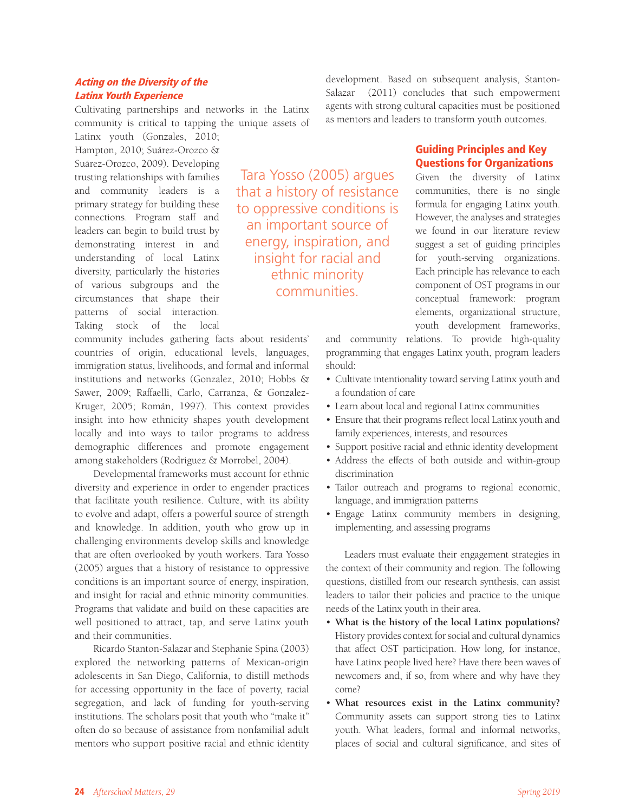# Acting on the Diversity of the Latinx Youth Experience

Cultivating partnerships and networks in the Latinx community is critical to tapping the unique assets of

Latinx youth (Gonzales, 2010; Hampton, 2010; Suárez-Orozco & Suárez-Orozco, 2009). Developing trusting relationships with families and community leaders is a primary strategy for building these connections. Program staff and leaders can begin to build trust by demonstrating interest in and understanding of local Latinx diversity, particularly the histories of various subgroups and the circumstances that shape their patterns of social interaction. Taking stock of the local

community includes gathering facts about residents' countries of origin, educational levels, languages, immigration status, livelihoods, and formal and informal institutions and networks (Gonzalez, 2010; Hobbs & Sawer, 2009; Raffaelli, Carlo, Carranza, & Gonzalez-Kruger, 2005; Román, 1997). This context provides insight into how ethnicity shapes youth development locally and into ways to tailor programs to address demographic differences and promote engagement among stakeholders (Rodriguez & Morrobel, 2004).

Developmental frameworks must account for ethnic diversity and experience in order to engender practices that facilitate youth resilience. Culture, with its ability to evolve and adapt, offers a powerful source of strength and knowledge. In addition, youth who grow up in challenging environments develop skills and knowledge that are often overlooked by youth workers. Tara Yosso (2005) argues that a history of resistance to oppressive conditions is an important source of energy, inspiration, and insight for racial and ethnic minority communities. Programs that validate and build on these capacities are well positioned to attract, tap, and serve Latinx youth and their communities.

Ricardo Stanton-Salazar and Stephanie Spina (2003) explored the networking patterns of Mexican-origin adolescents in San Diego, California, to distill methods for accessing opportunity in the face of poverty, racial segregation, and lack of funding for youth-serving institutions. The scholars posit that youth who "make it" often do so because of assistance from nonfamilial adult mentors who support positive racial and ethnic identity

Tara Yosso (2005) argues that a history of resistance to oppressive conditions is an important source of energy, inspiration, and insight for racial and ethnic minority communities.

development. Based on subsequent analysis, Stanton-Salazar (2011) concludes that such empowerment agents with strong cultural capacities must be positioned as mentors and leaders to transform youth outcomes.

# Guiding Principles and Key Questions for Organizations

Given the diversity of Latinx communities, there is no single formula for engaging Latinx youth. However, the analyses and strategies we found in our literature review suggest a set of guiding principles for youth-serving organizations. Each principle has relevance to each component of OST programs in our conceptual framework: program elements, organizational structure, youth development frameworks,

and community relations. To provide high-quality programming that engages Latinx youth, program leaders should:

- Cultivate intentionality toward serving Latinx youth and a foundation of care
- Learn about local and regional Latinx communities
- Ensure that their programs reflect local Latinx youth and family experiences, interests, and resources
- Support positive racial and ethnic identity development
- Address the effects of both outside and within-group discrimination
- Tailor outreach and programs to regional economic, language, and immigration patterns
- Engage Latinx community members in designing, implementing, and assessing programs

Leaders must evaluate their engagement strategies in the context of their community and region. The following questions, distilled from our research synthesis, can assist leaders to tailor their policies and practice to the unique needs of the Latinx youth in their area.

- **What is the history of the local Latinx populations?**  History provides context for social and cultural dynamics that affect OST participation. How long, for instance, have Latinx people lived here? Have there been waves of newcomers and, if so, from where and why have they come?
- **What resources exist in the Latinx community?**  Community assets can support strong ties to Latinx youth. What leaders, formal and informal networks, places of social and cultural significance, and sites of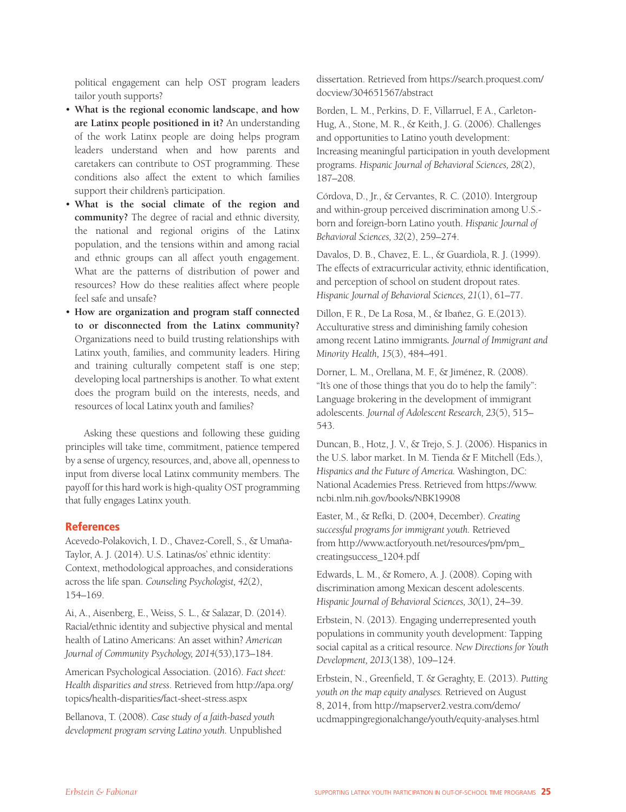political engagement can help OST program leaders tailor youth supports?

- **What is the regional economic landscape, and how are Latinx people positioned in it?** An understanding of the work Latinx people are doing helps program leaders understand when and how parents and caretakers can contribute to OST programming. These conditions also affect the extent to which families support their children's participation.
- **What is the social climate of the region and community?** The degree of racial and ethnic diversity, the national and regional origins of the Latinx population, and the tensions within and among racial and ethnic groups can all affect youth engagement. What are the patterns of distribution of power and resources? How do these realities affect where people feel safe and unsafe?
- **How are organization and program staff connected to or disconnected from the Latinx community?**  Organizations need to build trusting relationships with Latinx youth, families, and community leaders. Hiring and training culturally competent staff is one step; developing local partnerships is another. To what extent does the program build on the interests, needs, and resources of local Latinx youth and families?

Asking these questions and following these guiding principles will take time, commitment, patience tempered by a sense of urgency, resources, and, above all, openness to input from diverse local Latinx community members. The payoff for this hard work is high-quality OST programming that fully engages Latinx youth.

#### **References**

Acevedo-Polakovich, I. D., Chavez-Corell, S., & Umaña-Taylor, A. J. (2014). U.S. Latinas/os' ethnic identity: Context, methodological approaches, and considerations across the life span. *Counseling Psychologist, 42*(2), 154–169.

Ai, A., Aisenberg, E., Weiss, S. L., & Salazar, D. (2014). Racial/ethnic identity and subjective physical and mental health of Latino Americans: An asset within? *American Journal of Community Psychology, 2014*(53),173–184.

American Psychological Association. (2016). *Fact sheet: Health disparities and stress*. Retrieved from http://apa.org/ topics/health-disparities/fact-sheet-stress.aspx

Bellanova, T. (2008). *Case study of a faith-based youth development program serving Latino youth.* Unpublished dissertation. Retrieved from https://search.proquest.com/ docview/304651567/abstract

Borden, L. M., Perkins, D. F., Villarruel, F. A., Carleton-Hug, A., Stone, M. R., & Keith, J. G. (2006). Challenges and opportunities to Latino youth development: Increasing meaningful participation in youth development programs. *Hispanic Journal of Behavioral Sciences, 28*(2), 187–208.

Córdova, D., Jr., & Cervantes, R. C. (2010). Intergroup and within-group perceived discrimination among U.S. born and foreign-born Latino youth. *Hispanic Journal of Behavioral Sciences, 32*(2), 259–274.

Davalos, D. B., Chavez, E. L., & Guardiola, R. J. (1999). The effects of extracurricular activity, ethnic identification, and perception of school on student dropout rates. *Hispanic Journal of Behavioral Sciences, 21*(1), 61–77.

Dillon, F. R., De La Rosa, M., & Ibañez, G. E.(2013). Acculturative stress and diminishing family cohesion among recent Latino immigrants*. Journal of Immigrant and Minority Health, 15*(3), 484–491.

Dorner, L. M., Orellana, M. F., & Jiménez, R. (2008). "It's one of those things that you do to help the family": Language brokering in the development of immigrant adolescents. *Journal of Adolescent Research, 23*(5), 515– 543.

Duncan, B., Hotz, J. V., & Trejo, S. J. (2006). Hispanics in the U.S. labor market. In M. Tienda & F. Mitchell (Eds.), *Hispanics and the Future of America.* Washington, DC: National Academies Press. Retrieved from https://www. ncbi.nlm.nih.gov/books/NBK19908

Easter, M., & Refki, D. (2004, December). *Creating successful programs for immigrant youth.* Retrieved from http://www.actforyouth.net/resources/pm/pm\_ creatingsuccess\_1204.pdf

Edwards, L. M., & Romero, A. J. (2008). Coping with discrimination among Mexican descent adolescents. *Hispanic Journal of Behavioral Sciences, 30*(1), 24–39.

Erbstein, N. (2013). Engaging underrepresented youth populations in community youth development: Tapping social capital as a critical resource. *New Directions for Youth Development, 2013*(138), 109–124.

Erbstein, N., Greenfield, T. & Geraghty, E. (2013). *Putting youth on the map equity analyses.* Retrieved on August 8, 2014, from http://mapserver2.vestra.com/demo/ ucdmappingregionalchange/youth/equity-analyses.html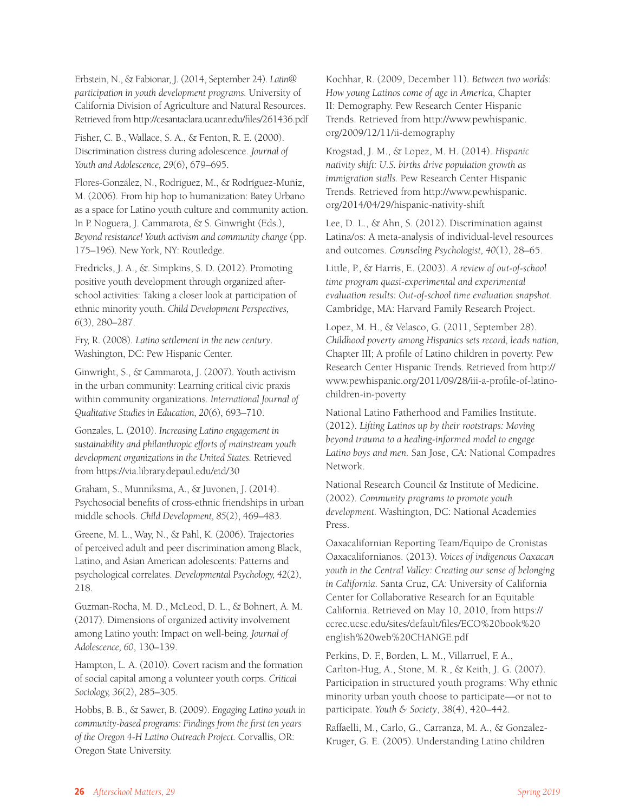Erbstein, N., & Fabionar, J. (2014, September 24). *Latin@ participation in youth development programs.* University of California Division of Agriculture and Natural Resources. Retrieved from http://cesantaclara.ucanr.edu/files/261436.pdf

Fisher, C. B., Wallace, S. A., & Fenton, R. E. (2000). Discrimination distress during adolescence. *Journal of Youth and Adolescence, 29*(6), 679–695.

Flores-González, N., Rodríguez, M., & Rodríguez-Muñiz, M. (2006). From hip hop to humanization: Batey Urbano as a space for Latino youth culture and community action. In P. Noguera, J. Cammarota, & S. Ginwright (Eds.), *Beyond resistance! Youth activism and community change* (pp. 175–196). New York, NY: Routledge.

Fredricks, J. A., &. Simpkins, S. D. (2012). Promoting positive youth development through organized afterschool activities: Taking a closer look at participation of ethnic minority youth. *Child Development Perspectives, 6*(3), 280–287.

Fry, R. (2008). *Latino settlement in the new century*. Washington, DC: Pew Hispanic Center.

Ginwright, S., & Cammarota, J. (2007). Youth activism in the urban community: Learning critical civic praxis within community organizations. *International Journal of Qualitative Studies in Education, 20*(6), 693–710.

Gonzales, L. (2010). *Increasing Latino engagement in sustainability and philanthropic efforts of mainstream youth development organizations in the United States.* Retrieved from https://via.library.depaul.edu/etd/30

Graham, S., Munniksma, A., & Juvonen, J. (2014). Psychosocial benefits of cross-ethnic friendships in urban middle schools. *Child Development, 85*(2), 469–483.

Greene, M. L., Way, N., & Pahl, K. (2006). Trajectories of perceived adult and peer discrimination among Black, Latino, and Asian American adolescents: Patterns and psychological correlates. *Developmental Psychology, 42*(2), 218.

Guzman-Rocha, M. D., McLeod, D. L., & Bohnert, A. M. (2017). Dimensions of organized activity involvement among Latino youth: Impact on well-being*. Journal of Adolescence, 60*, 130–139.

Hampton, L. A. (2010). Covert racism and the formation of social capital among a volunteer youth corps. *Critical Sociology, 36*(2), 285–305.

Hobbs, B. B., & Sawer, B. (2009). *Engaging Latino youth in community-based programs: Findings from the first ten years of the Oregon 4-H Latino Outreach Project.* Corvallis, OR: Oregon State University.

Kochhar, R. (2009, December 11). *Between two worlds: How young Latinos come of age in America,* Chapter II: Demography. Pew Research Center Hispanic Trends. Retrieved from http://www.pewhispanic. org/2009/12/11/ii-demography

Krogstad, J. M., & Lopez, M. H. (2014). *Hispanic nativity shift: U.S. births drive population growth as immigration stalls.* Pew Research Center Hispanic Trends. Retrieved from http://www.pewhispanic. org/2014/04/29/hispanic-nativity-shift

Lee, D. L., & Ahn, S. (2012). Discrimination against Latina/os: A meta-analysis of individual-level resources and outcomes. *Counseling Psychologist, 40*(1), 28–65.

Little, P., & Harris, E. (2003). *A review of out-of-school time program quasi-experimental and experimental evaluation results: Out-of-school time evaluation snapshot*. Cambridge, MA: Harvard Family Research Project.

Lopez, M. H., & Velasco, G. (2011, September 28). *Childhood poverty among Hispanics sets record, leads nation,* Chapter III; A profile of Latino children in poverty. Pew Research Center Hispanic Trends. Retrieved from http:// www.pewhispanic.org/2011/09/28/iii-a-profile-of-latinochildren-in-poverty

National Latino Fatherhood and Families Institute. (2012). *Lifting Latinos up by their rootstraps: Moving beyond trauma to a healing-informed model to engage Latino boys and men.* San Jose, CA: National Compadres Network.

National Research Council & Institute of Medicine. (2002). *Community programs to promote youth development.* Washington, DC: National Academies Press.

Oaxacalifornian Reporting Team/Equipo de Cronistas Oaxacalifornianos. (2013). *Voices of indigenous Oaxacan youth in the Central Valley: Creating our sense of belonging in California.* Santa Cruz, CA: University of California Center for Collaborative Research for an Equitable California. Retrieved on May 10, 2010, from https:// ccrec.ucsc.edu/sites/default/files/ECO%20book%20 english%20web%20CHANGE.pdf

Perkins, D. F., Borden, L. M., Villarruel, F. A., Carlton-Hug, A., Stone, M. R., & Keith, J. G. (2007). Participation in structured youth programs: Why ethnic minority urban youth choose to participate—or not to participate. *Youth & Society*, *38*(4), 420–442.

Raffaelli, M., Carlo, G., Carranza, M. A., & Gonzalez-Kruger, G. E. (2005). Understanding Latino children